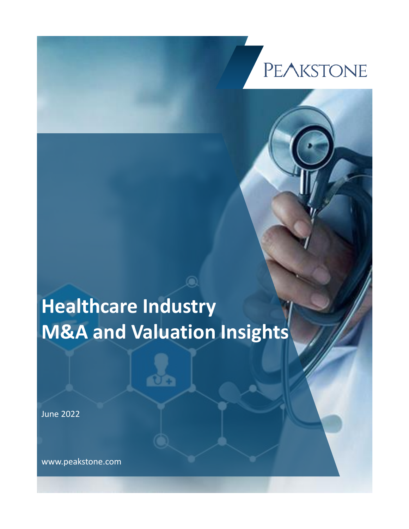# **PEAKSTONE**

## **Healthcare Industry M&A and Valuation Insights**

June 2022

www.peakstone.com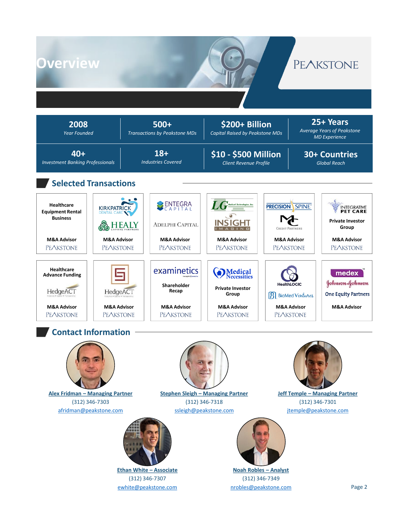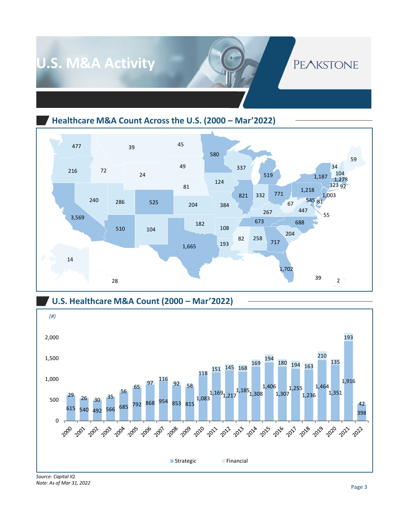

**Healthcare M&A Count Across the U.S. (2000 – Mar'2022)**





*Note: As of Mar 31, 2022*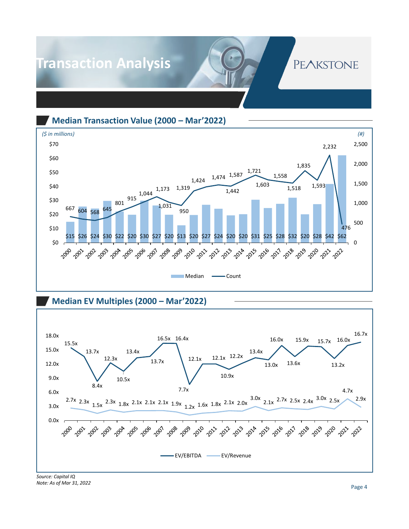## **Transaction Analysis**

### **PEAKSTONE**

**Median Transaction Value (2000 – Mar'2022)**



#### **Median EV Multiples (2000 – Mar'2022)**



*Source: Capital IQ Note: As of Mar 31, 2022*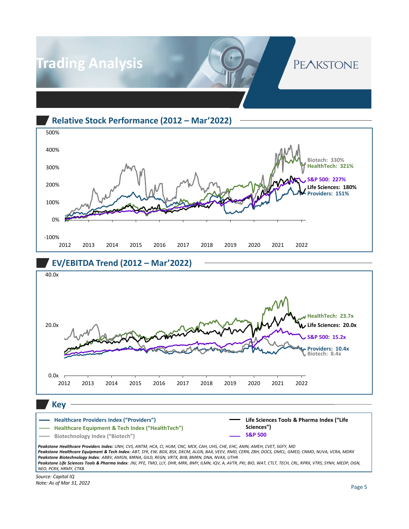

**Relative Stock Performance (2012 – Mar'2022)**



#### **EV/EBITDA Trend (2012 – Mar'2022)**



*Peakstone Healthcare Providers Index: UNH, CVS, ANTM, HCA, CI, HUM, CNC, MCK, CAH, UHS, CHE, EHC, AMN, AMEH, CVET, SGFY, MD Peakstone Healthcare Equipment & Tech Index: ABT, SYK, EW, BDX, BSX, DXCM, ALGN, BAX, VEEV, RMD, CERN, ZBH, DOCS, OMCL, GMED, CNMD, NUVA, VCRA, MDRX Peakstone Biotechnology Index: ABBV, AMGN, MRNA, GILD, REGN, VRTX, BIIB, BMRN, DNA, NVAX, UTHR Peakstone Life Sciences Tools & Pharma Index: JNJ, PFE, TMO, LLY, DHR, MRK, BMY, ILMN, IQV, A, AVTR, PKI, BIO, WAT, CTLT, TECH, CRL, RPRX, VTRS, SYNH, MEDP, OGN, NEO, PCRX, HRMY, CTKB*

*Source: Capital IQ Note: As of Mar 31, 2022*